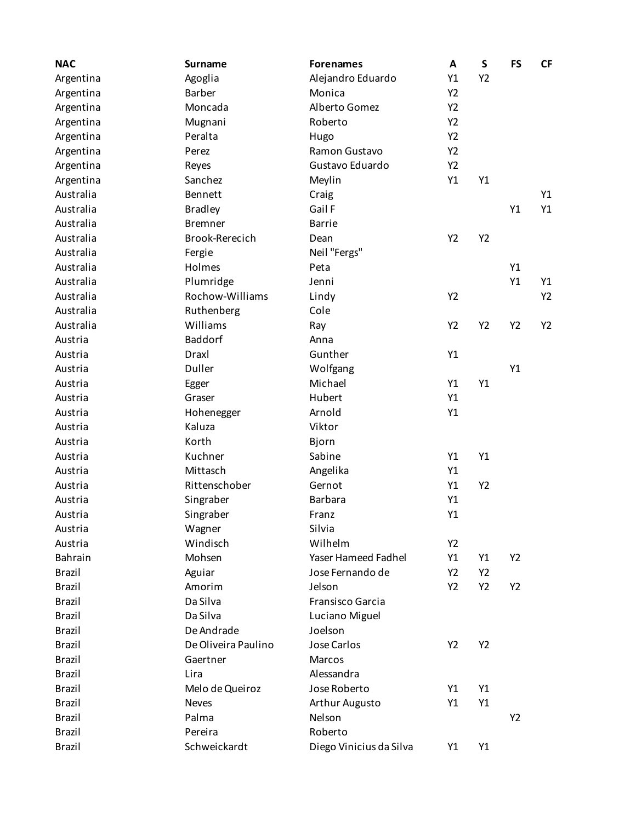| <b>NAC</b>    | <b>Surname</b>      | <b>Forenames</b>        | A  | S  | <b>FS</b> | <b>CF</b> |
|---------------|---------------------|-------------------------|----|----|-----------|-----------|
| Argentina     | Agoglia             | Alejandro Eduardo       | Y1 | Y2 |           |           |
| Argentina     | <b>Barber</b>       | Monica                  | Y2 |    |           |           |
| Argentina     | Moncada             | Alberto Gomez           | Y2 |    |           |           |
| Argentina     | Mugnani             | Roberto                 | Y2 |    |           |           |
| Argentina     | Peralta             | Hugo                    | Y2 |    |           |           |
| Argentina     | Perez               | Ramon Gustavo           | Y2 |    |           |           |
| Argentina     | Reyes               | Gustavo Eduardo         | Y2 |    |           |           |
| Argentina     | Sanchez             | Meylin                  | Y1 | Y1 |           |           |
| Australia     | Bennett             | Craig                   |    |    |           | Y1        |
| Australia     | <b>Bradley</b>      | Gail F                  |    |    | Y1        | Y1        |
| Australia     | <b>Bremner</b>      | <b>Barrie</b>           |    |    |           |           |
| Australia     | Brook-Rerecich      | Dean                    | Y2 | Y2 |           |           |
| Australia     | Fergie              | Neil "Fergs"            |    |    |           |           |
| Australia     | Holmes              | Peta                    |    |    | Y1        |           |
| Australia     | Plumridge           | Jenni                   |    |    | Y1        | Y1        |
| Australia     | Rochow-Williams     | Lindy                   | Y2 |    |           | Y2        |
| Australia     | Ruthenberg          | Cole                    |    |    |           |           |
| Australia     | Williams            | Ray                     | Y2 | Y2 | Y2        | Y2        |
| Austria       | <b>Baddorf</b>      | Anna                    |    |    |           |           |
| Austria       | Draxl               | Gunther                 | Y1 |    |           |           |
| Austria       | Duller              | Wolfgang                |    |    | Y1        |           |
| Austria       | Egger               | Michael                 | Y1 | Y1 |           |           |
| Austria       | Graser              | Hubert                  | Y1 |    |           |           |
| Austria       | Hohenegger          | Arnold                  | Y1 |    |           |           |
| Austria       | Kaluza              | Viktor                  |    |    |           |           |
| Austria       | Korth               | Bjorn                   |    |    |           |           |
| Austria       | Kuchner             | Sabine                  | Y1 | Y1 |           |           |
| Austria       | Mittasch            | Angelika                | Y1 |    |           |           |
| Austria       | Rittenschober       | Gernot                  | Y1 | Y2 |           |           |
| Austria       | Singraber           | <b>Barbara</b>          | Y1 |    |           |           |
| Austria       | Singraber           | Franz                   | Y1 |    |           |           |
| Austria       | Wagner              | Silvia                  |    |    |           |           |
| Austria       | Windisch            | Wilhelm                 | Y2 |    |           |           |
| Bahrain       | Mohsen              | Yaser Hameed Fadhel     | Y1 | Y1 | Y2        |           |
| <b>Brazil</b> | Aguiar              | Jose Fernando de        | Y2 | Y2 |           |           |
| <b>Brazil</b> | Amorim              | Jelson                  | Y2 | Y2 | Y2        |           |
| <b>Brazil</b> | Da Silva            | Fransisco Garcia        |    |    |           |           |
| <b>Brazil</b> | Da Silva            | Luciano Miguel          |    |    |           |           |
| <b>Brazil</b> | De Andrade          | Joelson                 |    |    |           |           |
| <b>Brazil</b> | De Oliveira Paulino | Jose Carlos             | Y2 | Y2 |           |           |
| <b>Brazil</b> | Gaertner            | Marcos                  |    |    |           |           |
| <b>Brazil</b> | Lira                | Alessandra              |    |    |           |           |
| <b>Brazil</b> | Melo de Queiroz     | Jose Roberto            | Y1 | Y1 |           |           |
| <b>Brazil</b> | <b>Neves</b>        | Arthur Augusto          | Y1 | Y1 |           |           |
| <b>Brazil</b> | Palma               | Nelson                  |    |    | Y2        |           |
| <b>Brazil</b> | Pereira             | Roberto                 |    |    |           |           |
| <b>Brazil</b> | Schweickardt        | Diego Vinicius da Silva | Y1 | Υ1 |           |           |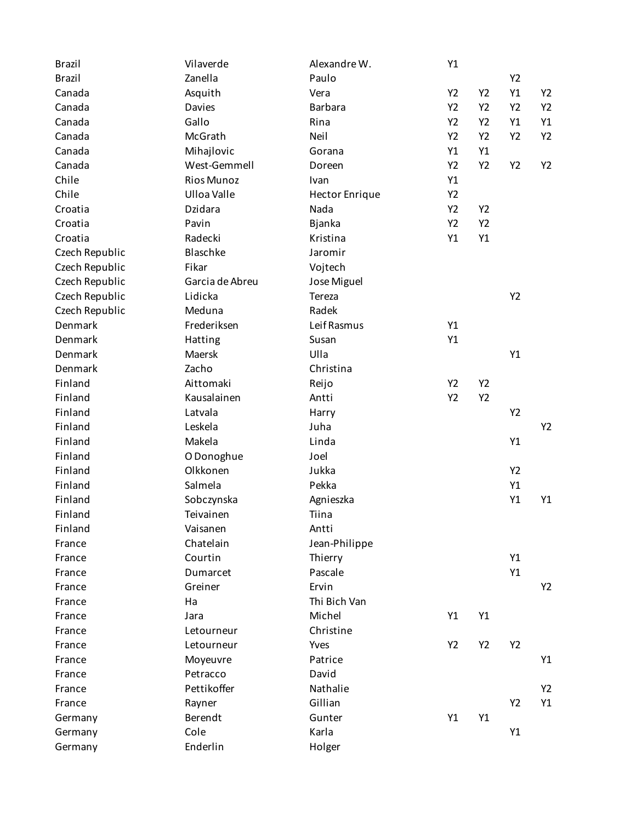| <b>Brazil</b>  | Vilaverde         | Alexandre W.          | Y1 |    |                |                |
|----------------|-------------------|-----------------------|----|----|----------------|----------------|
| <b>Brazil</b>  | Zanella           | Paulo                 |    |    | Y2             |                |
| Canada         | Asquith           | Vera                  | Y2 | Y2 | Y1             | Y2             |
| Canada         | Davies            | <b>Barbara</b>        | Y2 | Y2 | Y <sub>2</sub> | Y2             |
| Canada         | Gallo             | Rina                  | Y2 | Y2 | Y1             | Y1             |
| Canada         | McGrath           | Neil                  | Y2 | Y2 | Y2             | Y2             |
| Canada         | Mihajlovic        | Gorana                | Y1 | Y1 |                |                |
| Canada         | West-Gemmell      | Doreen                | Y2 | Y2 | Y2             | Y2             |
| Chile          | <b>Rios Munoz</b> | Ivan                  | Y1 |    |                |                |
| Chile          | Ulloa Valle       | <b>Hector Enrique</b> | Y2 |    |                |                |
| Croatia        | Dzidara           | Nada                  | Y2 | Y2 |                |                |
| Croatia        | Pavin             | Bjanka                | Y2 | Y2 |                |                |
| Croatia        | Radecki           | Kristina              | Y1 | Y1 |                |                |
| Czech Republic | Blaschke          | Jaromir               |    |    |                |                |
| Czech Republic | Fikar             | Vojtech               |    |    |                |                |
| Czech Republic | Garcia de Abreu   | Jose Miguel           |    |    |                |                |
| Czech Republic | Lidicka           | Tereza                |    |    | Y2             |                |
| Czech Republic | Meduna            | Radek                 |    |    |                |                |
| Denmark        | Frederiksen       | Leif Rasmus           | Y1 |    |                |                |
| Denmark        | Hatting           | Susan                 | Y1 |    |                |                |
| Denmark        | Maersk            | Ulla                  |    |    | Y1             |                |
| Denmark        | Zacho             | Christina             |    |    |                |                |
| Finland        | Aittomaki         | Reijo                 | Y2 | Y2 |                |                |
| Finland        | Kausalainen       | Antti                 | Y2 | Y2 |                |                |
| Finland        | Latvala           | Harry                 |    |    | Y2             |                |
| Finland        | Leskela           | Juha                  |    |    |                | Y <sub>2</sub> |
| Finland        | Makela            | Linda                 |    |    | Y1             |                |
| Finland        | O Donoghue        | Joel                  |    |    |                |                |
| Finland        | Olkkonen          | Jukka                 |    |    | Y2             |                |
| Finland        | Salmela           | Pekka                 |    |    | Y1             |                |
| Finland        | Sobczynska        | Agnieszka             |    |    | Y1             | Y1             |
| Finland        | Teivainen         | Tiina                 |    |    |                |                |
| Finland        | Vaisanen          | Antti                 |    |    |                |                |
| France         | Chatelain         | Jean-Philippe         |    |    |                |                |
| France         | Courtin           | Thierry               |    |    | Y1             |                |
| France         | Dumarcet          | Pascale               |    |    | Y1             |                |
| France         | Greiner           | Ervin                 |    |    |                | Y2             |
| France         | Ha                | Thi Bich Van          |    |    |                |                |
| France         | Jara              | Michel                | Y1 | Y1 |                |                |
| France         | Letourneur        | Christine             |    |    |                |                |
| France         | Letourneur        | Yves                  | Y2 | Y2 | Y2             |                |
| France         | Moyeuvre          | Patrice               |    |    |                | Y1             |
| France         | Petracco          | David                 |    |    |                |                |
| France         | Pettikoffer       | Nathalie              |    |    |                | Y2             |
| France         | Rayner            | Gillian               |    |    | Y2             | Y1             |
| Germany        | Berendt           | Gunter                | Y1 | Y1 |                |                |
| Germany        | Cole              | Karla                 |    |    | Y1             |                |
| Germany        | Enderlin          | Holger                |    |    |                |                |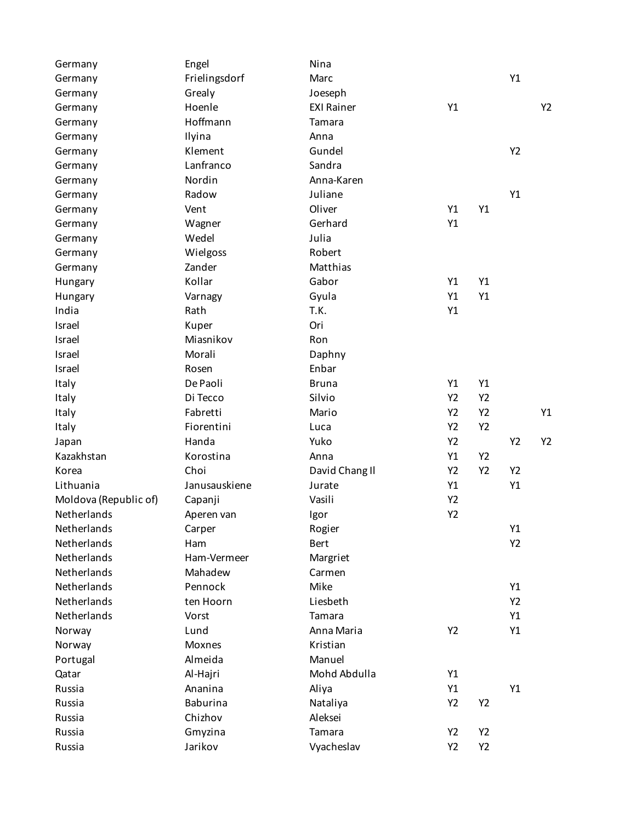| Germany               | Engel           | Nina              |                |    |                |    |
|-----------------------|-----------------|-------------------|----------------|----|----------------|----|
| Germany               | Frielingsdorf   | Marc              |                |    | Y1             |    |
| Germany               | Grealy          | Joeseph           |                |    |                |    |
| Germany               | Hoenle          | <b>EXI Rainer</b> | Y1             |    |                | Y2 |
| Germany               | Hoffmann        | Tamara            |                |    |                |    |
| Germany               | Ilyina          | Anna              |                |    |                |    |
| Germany               | Klement         | Gundel            |                |    | Y2             |    |
| Germany               | Lanfranco       | Sandra            |                |    |                |    |
| Germany               | Nordin          | Anna-Karen        |                |    |                |    |
| Germany               | Radow           | Juliane           |                |    | Y1             |    |
| Germany               | Vent            | Oliver            | Y1             | Y1 |                |    |
| Germany               | Wagner          | Gerhard           | Y1             |    |                |    |
| Germany               | Wedel           | Julia             |                |    |                |    |
| Germany               | Wielgoss        | Robert            |                |    |                |    |
| Germany               | Zander          | Matthias          |                |    |                |    |
| Hungary               | Kollar          | Gabor             | Y1             | Y1 |                |    |
| Hungary               | Varnagy         | Gyula             | Y1             | Y1 |                |    |
| India                 | Rath            | T.K.              | Y1             |    |                |    |
| Israel                | Kuper           | Ori               |                |    |                |    |
| Israel                | Miasnikov       | Ron               |                |    |                |    |
| Israel                | Morali          | Daphny            |                |    |                |    |
| Israel                | Rosen           | Enbar             |                |    |                |    |
| Italy                 | De Paoli        | <b>Bruna</b>      | Y1             | Y1 |                |    |
| Italy                 | Di Tecco        | Silvio            | Y2             | Y2 |                |    |
| Italy                 | Fabretti        | Mario             | Y2             | Y2 |                | Y1 |
| Italy                 | Fiorentini      | Luca              | Y2             | Y2 |                |    |
| Japan                 | Handa           | Yuko              | Y2             |    | Y2             | Y2 |
| Kazakhstan            | Korostina       | Anna              | Y1             | Y2 |                |    |
| Korea                 | Choi            | David Chang II    | Y2             | Y2 | Y2             |    |
| Lithuania             | Janusauskiene   | Jurate            | Y1             |    | Y1             |    |
| Moldova (Republic of) | Capanji         | Vasili            | Y2             |    |                |    |
| Netherlands           | Aperen van      | Igor              | Y2             |    |                |    |
| Netherlands           | Carper          | Rogier            |                |    | Y1             |    |
| Netherlands           | Ham             | <b>Bert</b>       |                |    | Y2             |    |
| Netherlands           | Ham-Vermeer     | Margriet          |                |    |                |    |
| Netherlands           | Mahadew         | Carmen            |                |    |                |    |
| Netherlands           | Pennock         | Mike              |                |    | Y1             |    |
| Netherlands           | ten Hoorn       | Liesbeth          |                |    | Y <sub>2</sub> |    |
| Netherlands           | Vorst           | Tamara            |                |    | Y1             |    |
| Norway                | Lund            | Anna Maria        | Y <sub>2</sub> |    | Y1             |    |
| Norway                | Moxnes          | Kristian          |                |    |                |    |
| Portugal              | Almeida         | Manuel            |                |    |                |    |
| Qatar                 | Al-Hajri        | Mohd Abdulla      | Y1             |    |                |    |
| Russia                | Ananina         | Aliya             | Y1             |    | Y1             |    |
| Russia                | <b>Baburina</b> | Nataliya          | Y2             | Y2 |                |    |
| Russia                | Chizhov         | Aleksei           |                |    |                |    |
| Russia                | Gmyzina         | Tamara            | Y2             | Y2 |                |    |
| Russia                | Jarikov         | Vyacheslav        | Y2             | Y2 |                |    |
|                       |                 |                   |                |    |                |    |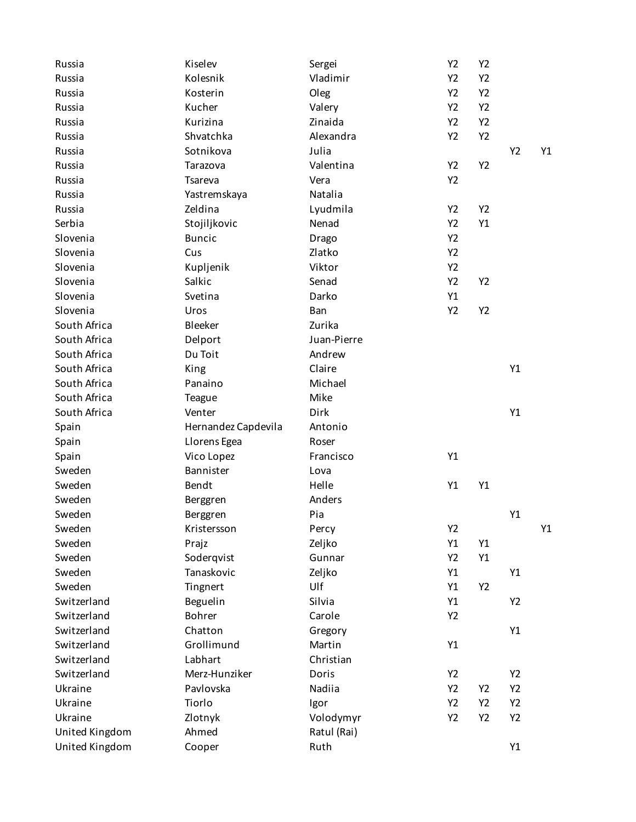| Russia         | Kiselev             | Sergei        | Y2 | Y2 |                |    |
|----------------|---------------------|---------------|----|----|----------------|----|
| Russia         | Kolesnik            | Vladimir      | Y2 | Y2 |                |    |
| Russia         | Kosterin            | Oleg          | Y2 | Y2 |                |    |
| Russia         | Kucher              | Valery        | Y2 | Y2 |                |    |
| Russia         | Kurizina            | Zinaida       | Y2 | Y2 |                |    |
| Russia         | Shvatchka           | Alexandra     | Y2 | Y2 |                |    |
| Russia         | Sotnikova           | Julia         |    |    | Y2             | Y1 |
| Russia         | Tarazova            | Valentina     | Y2 | Y2 |                |    |
| Russia         | Tsareva             | Vera          | Y2 |    |                |    |
| Russia         | Yastremskaya        | Natalia       |    |    |                |    |
| Russia         | Zeldina             | Lyudmila      | Y2 | Y2 |                |    |
| Serbia         | Stojiljkovic        | Nenad         | Y2 | Y1 |                |    |
| Slovenia       | <b>Buncic</b>       | Drago         | Y2 |    |                |    |
| Slovenia       | Cus                 | Zlatko        | Y2 |    |                |    |
| Slovenia       | Kupljenik           | Viktor        | Y2 |    |                |    |
| Slovenia       | Salkic              | Senad         | Y2 | Y2 |                |    |
| Slovenia       | Svetina             | Darko         | Y1 |    |                |    |
| Slovenia       | Uros                | Ban           | Y2 | Y2 |                |    |
| South Africa   | Bleeker             | Zurika        |    |    |                |    |
| South Africa   | Delport             | Juan-Pierre   |    |    |                |    |
| South Africa   | Du Toit             | Andrew        |    |    |                |    |
| South Africa   | King                | Claire        |    |    | Y1             |    |
| South Africa   | Panaino             | Michael       |    |    |                |    |
| South Africa   | <b>Teague</b>       | Mike          |    |    |                |    |
| South Africa   | Venter              | Dirk          |    |    | Y1             |    |
| Spain          | Hernandez Capdevila | Antonio       |    |    |                |    |
| Spain          | Llorens Egea        | Roser         |    |    |                |    |
| Spain          | Vico Lopez          | Francisco     | Y1 |    |                |    |
| Sweden         | Bannister           |               |    |    |                |    |
| Sweden         | Bendt               | Lova<br>Helle | Y1 | Y1 |                |    |
| Sweden         |                     | Anders        |    |    |                |    |
|                | Berggren            |               |    |    |                |    |
| Sweden         | Berggren            | Pia           |    |    | Y1             |    |
| Sweden         | Kristersson         | Percy         | Y2 |    |                | Y1 |
| Sweden         | Prajz               | Zeljko        | Y1 | Y1 |                |    |
| Sweden         | Soderqvist          | Gunnar        | Y2 | Y1 |                |    |
| Sweden         | Tanaskovic          | Zeljko        | Y1 |    | Y1             |    |
| Sweden         | Tingnert            | Ulf           | Y1 | Y2 |                |    |
| Switzerland    | Beguelin            | Silvia        | Y1 |    | Y2             |    |
| Switzerland    | Bohrer              | Carole        | Y2 |    |                |    |
| Switzerland    | Chatton             | Gregory       |    |    | Y1             |    |
| Switzerland    | Grollimund          | Martin        | Y1 |    |                |    |
| Switzerland    | Labhart             | Christian     |    |    |                |    |
| Switzerland    | Merz-Hunziker       | Doris         | Y2 |    | Y <sub>2</sub> |    |
| Ukraine        | Pavlovska           | Nadiia        | Y2 | Y2 | Y2             |    |
| Ukraine        | Tiorlo              | Igor          | Y2 | Y2 | Y <sub>2</sub> |    |
| Ukraine        | Zlotnyk             | Volodymyr     | Y2 | Y2 | Y2             |    |
| United Kingdom | Ahmed               | Ratul (Rai)   |    |    |                |    |
| United Kingdom | Cooper              | Ruth          |    |    | Y1             |    |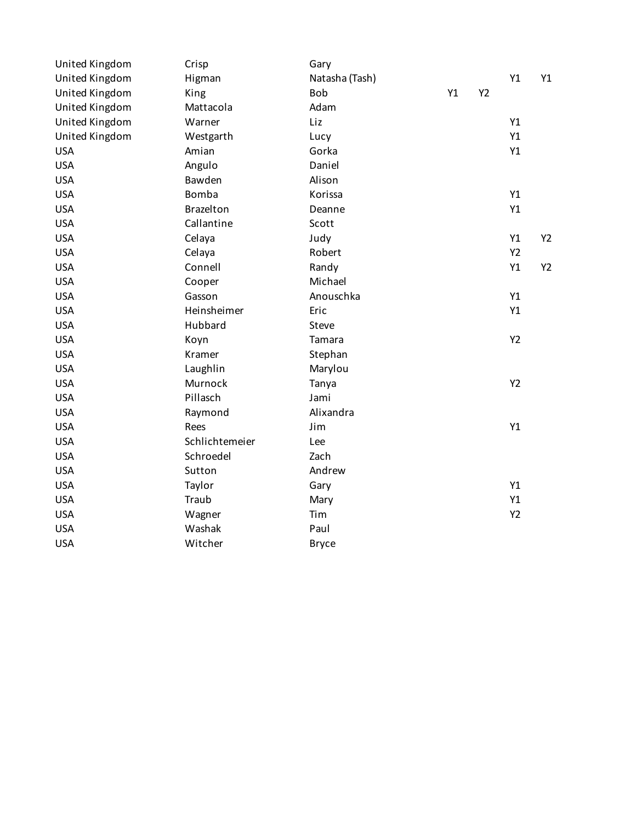| United Kingdom | Crisp          | Gary           |    |    |    |    |
|----------------|----------------|----------------|----|----|----|----|
| United Kingdom | Higman         | Natasha (Tash) |    |    | Y1 | Y1 |
| United Kingdom | King           | Bob            | Y1 | Y2 |    |    |
| United Kingdom | Mattacola      | Adam           |    |    |    |    |
| United Kingdom | Warner         | Liz            |    |    | Y1 |    |
| United Kingdom | Westgarth      | Lucy           |    |    | Y1 |    |
| <b>USA</b>     | Amian          | Gorka          |    |    | Y1 |    |
| <b>USA</b>     | Angulo         | Daniel         |    |    |    |    |
| <b>USA</b>     | Bawden         | Alison         |    |    |    |    |
| <b>USA</b>     | Bomba          | Korissa        |    |    | Y1 |    |
| <b>USA</b>     | Brazelton      | Deanne         |    |    | Y1 |    |
| <b>USA</b>     | Callantine     | Scott          |    |    |    |    |
| <b>USA</b>     | Celaya         | Judy           |    |    | Y1 | Y2 |
| <b>USA</b>     | Celaya         | Robert         |    |    | Y2 |    |
| <b>USA</b>     | Connell        | Randy          |    |    | Y1 | Y2 |
| <b>USA</b>     | Cooper         | Michael        |    |    |    |    |
| <b>USA</b>     | Gasson         | Anouschka      |    |    | Y1 |    |
| <b>USA</b>     | Heinsheimer    | Eric           |    |    | Y1 |    |
| <b>USA</b>     | Hubbard        | Steve          |    |    |    |    |
| <b>USA</b>     | Koyn           | Tamara         |    |    | Y2 |    |
| <b>USA</b>     | Kramer         | Stephan        |    |    |    |    |
| <b>USA</b>     | Laughlin       | Marylou        |    |    |    |    |
| <b>USA</b>     | Murnock        | Tanya          |    |    | Y2 |    |
| <b>USA</b>     | Pillasch       | Jami           |    |    |    |    |
| <b>USA</b>     | Raymond        | Alixandra      |    |    |    |    |
| <b>USA</b>     | Rees           | Jim            |    |    | Y1 |    |
| <b>USA</b>     | Schlichtemeier | Lee            |    |    |    |    |
| <b>USA</b>     | Schroedel      | Zach           |    |    |    |    |
| <b>USA</b>     | Sutton         | Andrew         |    |    |    |    |
| <b>USA</b>     | Taylor         | Gary           |    |    | Y1 |    |
| <b>USA</b>     | Traub          | Mary           |    |    | Y1 |    |
| <b>USA</b>     | Wagner         | Tim            |    |    | Y2 |    |
| <b>USA</b>     | Washak         | Paul           |    |    |    |    |
| <b>USA</b>     | Witcher        | <b>Bryce</b>   |    |    |    |    |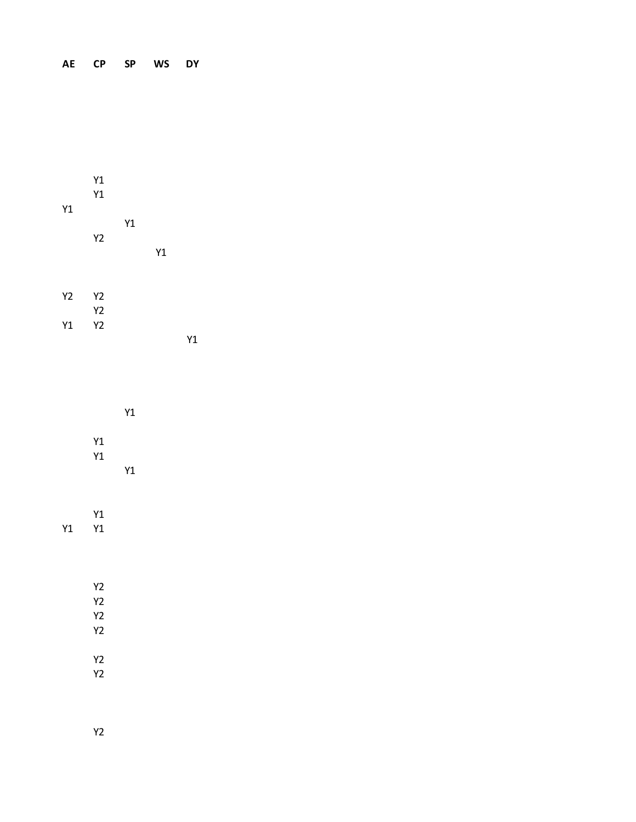## **AE CP SP WS DY**

| Y1                   | Y1<br>Y1<br>Y2                                                  | Y1       | Y1 |    |  |
|----------------------|-----------------------------------------------------------------|----------|----|----|--|
| Y <sub>2</sub><br>Y1 | <b>Y2</b><br>Y2<br><b>Y2</b>                                    |          |    | Y1 |  |
|                      | Y1<br>Y1                                                        | Y1<br>Y1 |    |    |  |
| Y1                   | Y1<br>Y1                                                        |          |    |    |  |
|                      | <b>Y2</b><br>Y <sub>2</sub><br>Y <sub>2</sub><br>Y <sub>2</sub> |          |    |    |  |
|                      | Y <sub>2</sub><br>Y <sub>2</sub>                                |          |    |    |  |

Y2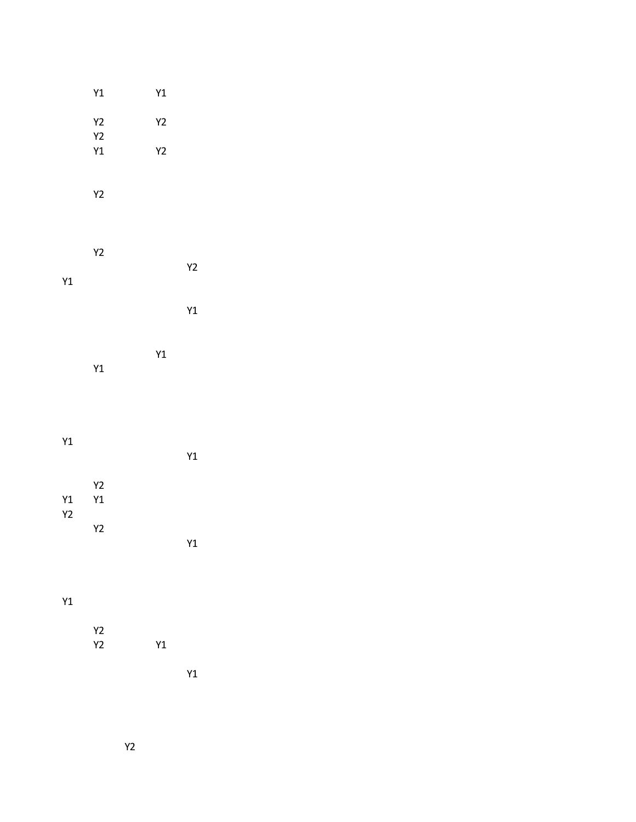|             | $\mathsf{Y1}$                    | Y1            |    |
|-------------|----------------------------------|---------------|----|
|             | $\ensuremath{\mathsf{Y2}}$<br>Y2 | $\mathsf{Y2}$ |    |
|             | Y1                               | $\mathsf{Y2}$ |    |
|             | $\mathsf{Y2}$                    |               |    |
| $\verb Y1 $ | <b>Y2</b>                        |               | Y2 |
|             |                                  |               | Y1 |
|             | $\verb Y1 $                      | Y1            |    |
| Y1          |                                  |               | Y1 |

| Y1<br><b>Y2</b> | Y2<br>Y1 |    |  |
|-----------------|----------|----|--|
|                 | Y2       | Y1 |  |
|                 |          |    |  |

Y1

| Y2 |    |
|----|----|
| Y2 | Υ1 |

Y1

Y2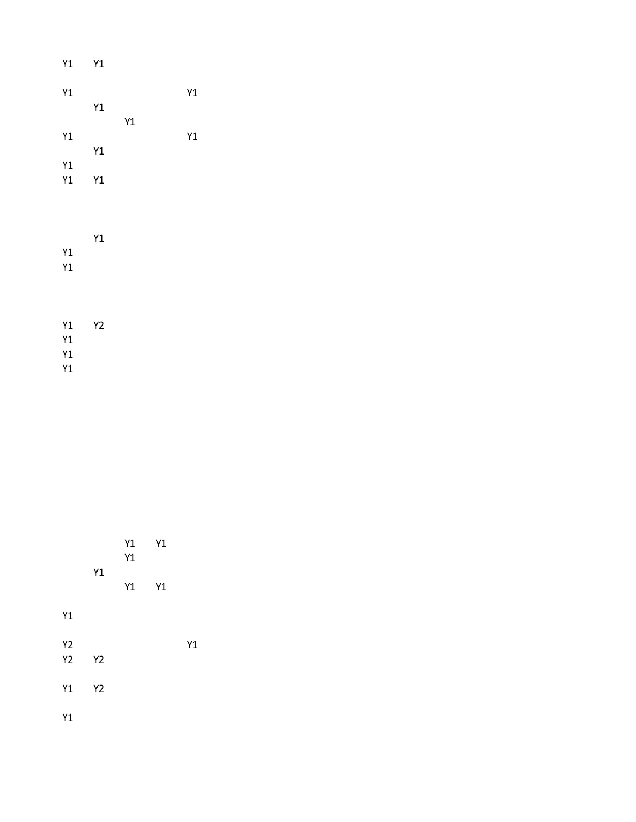| Y1 | Y1 |    |    |  |
|----|----|----|----|--|
| Y1 |    |    | Y1 |  |
|    | Y1 | Y1 |    |  |
| Y1 |    |    | Y1 |  |
|    | Y1 |    |    |  |
| Y1 |    |    |    |  |
| Y1 | Y1 |    |    |  |
|    |    |    |    |  |
|    |    |    |    |  |
|    | Y1 |    |    |  |
| Y1 |    |    |    |  |
| Y1 |    |    |    |  |
|    |    |    |    |  |

| Y1 | Y2 |  |
|----|----|--|
| Y1 |    |  |
| Y1 |    |  |
| Y1 |    |  |

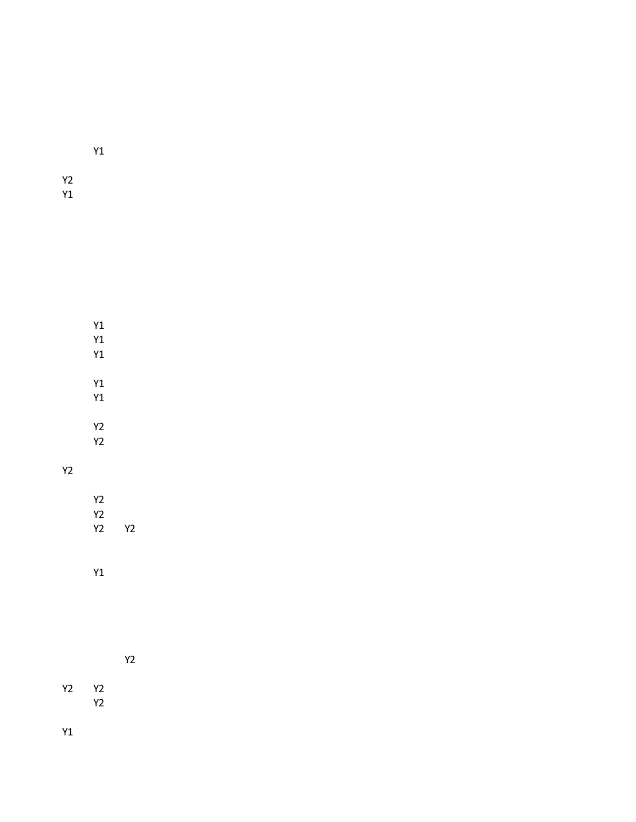Y1

Y1 Y1 Y1

Y1 Y1

Y2 Y2

Y2

Y1

Y2

Y2 Y2 Y2 Y2

Y1

Y2

Y2 Y2 Y2

Y1